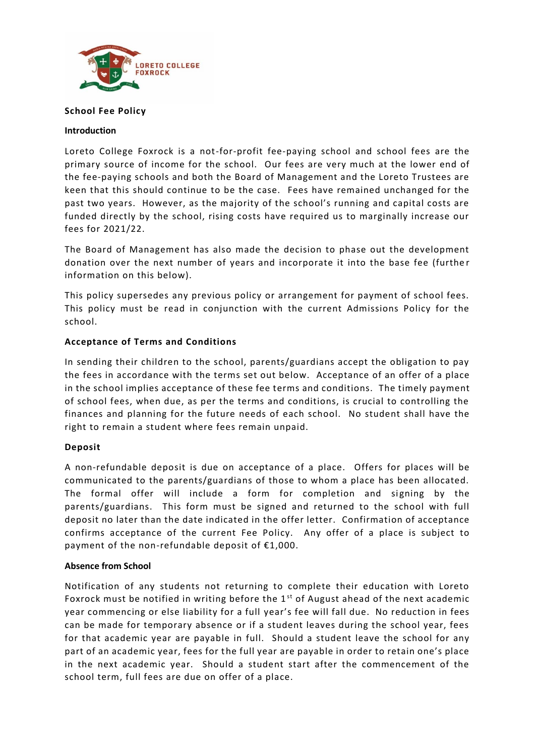

# **School Fee Policy**

### **Introduction**

Loreto College Foxrock is a not-for-profit fee-paying school and school fees are the primary source of income for the school. Our fees are very much at the lower end of the fee-paying schools and both the Board of Management and the Loreto Trustees are keen that this should continue to be the case. Fees have remained unchanged for the past two years. However, as the majority of the school's running and capital costs are funded directly by the school, rising costs have required us to marginally increase our fees for 2021/22.

The Board of Management has also made the decision to phase out the development donation over the next number of years and incorporate it into the base fee (furthe r information on this below).

This policy supersedes any previous policy or arrangement for payment of school fees. This policy must be read in conjunction with the current Admissions Policy for the school.

# **Acceptance of Terms and Conditions**

In sending their children to the school, parents/guardians accept the obligation to pay the fees in accordance with the terms set out below. Acceptance of an offer of a place in the school implies acceptance of these fee terms and conditions. The timely payment of school fees, when due, as per the terms and conditions, is crucial to controlling the finances and planning for the future needs of each school. No student shall have the right to remain a student where fees remain unpaid.

# **Deposit**

A non-refundable deposit is due on acceptance of a place. Offers for places will be communicated to the parents/guardians of those to whom a place has been allocated. The formal offer will include a form for completion and signing by the parents/guardians. This form must be signed and returned to the school with full deposit no later than the date indicated in the offer letter. Confirmation of acceptance confirms acceptance of the current Fee Policy. Any offer of a place is subject to payment of the non-refundable deposit of €1,000.

# **Absence from School**

Notification of any students not returning to complete their education with Loreto Foxrock must be notified in writing before the 1<sup>st</sup> of August ahead of the next academic year commencing or else liability for a full year's fee will fall due. No reduction in fees can be made for temporary absence or if a student leaves during the school year, fees for that academic year are payable in full. Should a student leave the school for any part of an academic year, fees for the full year are payable in order to retain one's place in the next academic year. Should a student start after the commencement of the school term, full fees are due on offer of a place.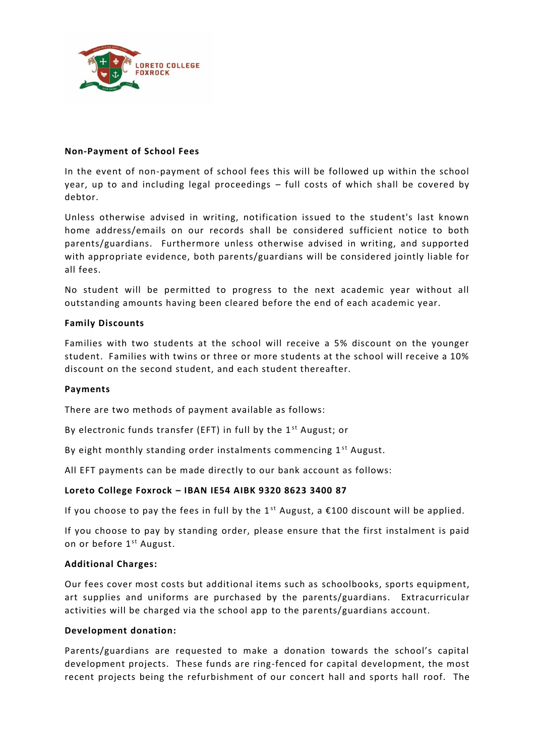

# **Non-Payment of School Fees**

In the event of non-payment of school fees this will be followed up within the school year, up to and including legal proceedings – full costs of which shall be covered by debtor.

Unless otherwise advised in writing, notification issued to the student's last known home address/emails on our records shall be considered sufficient notice to both parents/guardians. Furthermore unless otherwise advised in writing, and supported with appropriate evidence, both parents/guardians will be considered jointly liable for all fees.

No student will be permitted to progress to the next academic year without all outstanding amounts having been cleared before the end of each academic year.

## **Family Discounts**

Families with two students at the school will receive a 5% discount on the younger student. Families with twins or three or more students at the school will receive a 10% discount on the second student, and each student thereafter.

### **Payments**

There are two methods of payment available as follows:

By electronic funds transfer (EFT) in full by the 1<sup>st</sup> August; or

By eight monthly standing order instalments commencing  $1<sup>st</sup>$  August.

All EFT payments can be made directly to our bank account as follows:

# **Loreto College Foxrock – IBAN IE54 AIBK 9320 8623 3400 87**

If you choose to pay the fees in full by the 1<sup>st</sup> August, a  $\epsilon$ 100 discount will be applied.

If you choose to pay by standing order, please ensure that the first instalment is paid on or before 1<sup>st</sup> August.

#### **Additional Charges:**

Our fees cover most costs but additional items such as schoolbooks, sports equipment, art supplies and uniforms are purchased by the parents/guardians. Extracurricular activities will be charged via the school app to the parents/guardians account.

#### **Development donation:**

Parents/guardians are requested to make a donation towards the school's capital development projects. These funds are ring-fenced for capital development, the most recent projects being the refurbishment of our concert hall and sports hall roof. The